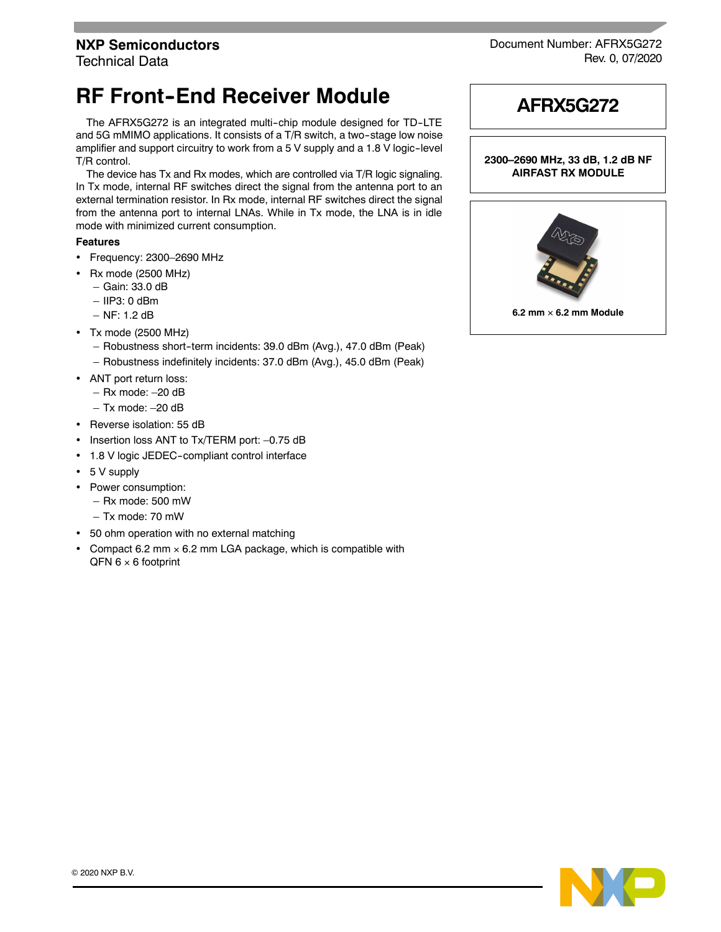## **NXP Semiconductors**

Technical Data

## **RF Front-End Receiver Module**

The AFRX5G272 is an integrated multi-chip module designed for TD-LTE and 5G mMIMO applications. It consists of a T/R switch, a two-stage low noise amplifier and support circuitry to work from a 5 V supply and a 1.8 V logic-level T/R control.

The device has Tx and Rx modes, which are controlled via T/R logic signaling. In Tx mode, internal RF switches direct the signal from the antenna port to an external termination resistor. In Rx mode, internal RF switches direct the signal from the antenna port to internal LNAs. While in Tx mode, the LNA is in idle mode with minimized current consumption.

## **Features**

- Frequency: 2300–2690 MHz
- $\cdot$  Rx mode (2500 MHz)
	- Gain: 33.0 dB
	- IIP3: 0 dBm
	- NF: 1.2 dB
- Tx mode (2500 MHz)
	- Robustness short--term incidents: 39.0 dBm (Avg.), 47.0 dBm (Peak)
	- Robustness indefinitely incidents: 37.0 dBm (Avg.), 45.0 dBm (Peak)
- ANT port return loss:
	- Rx mode: –20 dB
	- $-$  Tx mode:  $-20$  dB
- Reverse isolation: 55 dB
- Insertion loss ANT to Tx/TERM port: -0.75 dB
- 1.8 V logic JEDEC-compliant control interface
- 5 V supply
- Power consumption:
	- Rx mode: 500 mW
	- Tx mode: 70 mW
- 50 ohm operation with no external matching
- Compact 6.2 mm  $\times$  6.2 mm LGA package, which is compatible with  $QFN 6 \times 6$  footprint



Document Number: AFRX5G272 Rev. 0, 07/2020



**2300–2690 MHz, 33 dB, 1.2 dB NF AIRFAST RX MODULE**

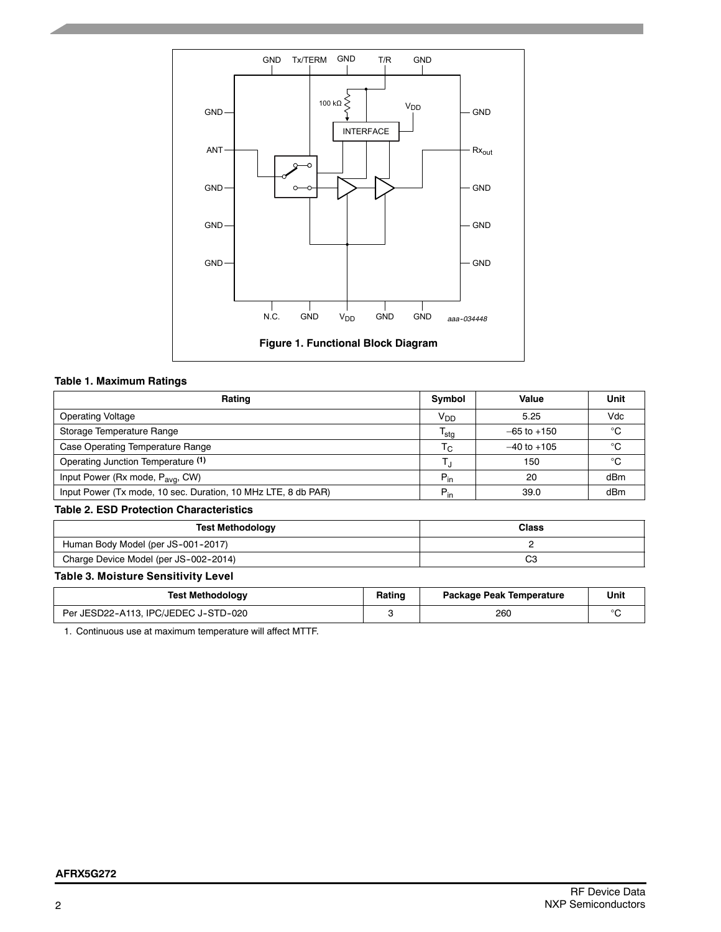

#### **Table 1. Maximum Ratings**

| Rating                                                        | Symbol           | Value           | Unit |
|---------------------------------------------------------------|------------------|-----------------|------|
| <b>Operating Voltage</b>                                      | V <sub>DD</sub>  | 5.25            | Vdc  |
| Storage Temperature Range                                     | <sup>I</sup> stg | $-65$ to $+150$ | °C   |
| Case Operating Temperature Range                              | Тc               | $-40$ to $+105$ | °C   |
| Operating Junction Temperature (1)                            | L.               | 150             | °C   |
| Input Power (Rx mode, P <sub>avg</sub> , CW)                  | $P_{in}$         | 20              | dBm  |
| Input Power (Tx mode, 10 sec. Duration, 10 MHz LTE, 8 db PAR) | $P_{in}$         | 39.0            | dBm  |

#### **Table 2. ESD Protection Characteristics**

| <b>Test Methodology</b>               | <b>Class</b> |
|---------------------------------------|--------------|
| Human Body Model (per JS-001-2017)    |              |
| Charge Device Model (per JS-002-2014) | r<br>v       |

## **Table 3. Moisture Sensitivity Level**

| <b>Test Methodology</b>              | Rating | Package Peak Temperature |  |
|--------------------------------------|--------|--------------------------|--|
| Per JESD22-A113. IPC/JEDEC J-STD-020 |        | 260                      |  |

1. Continuous use at maximum temperature will affect MTTF.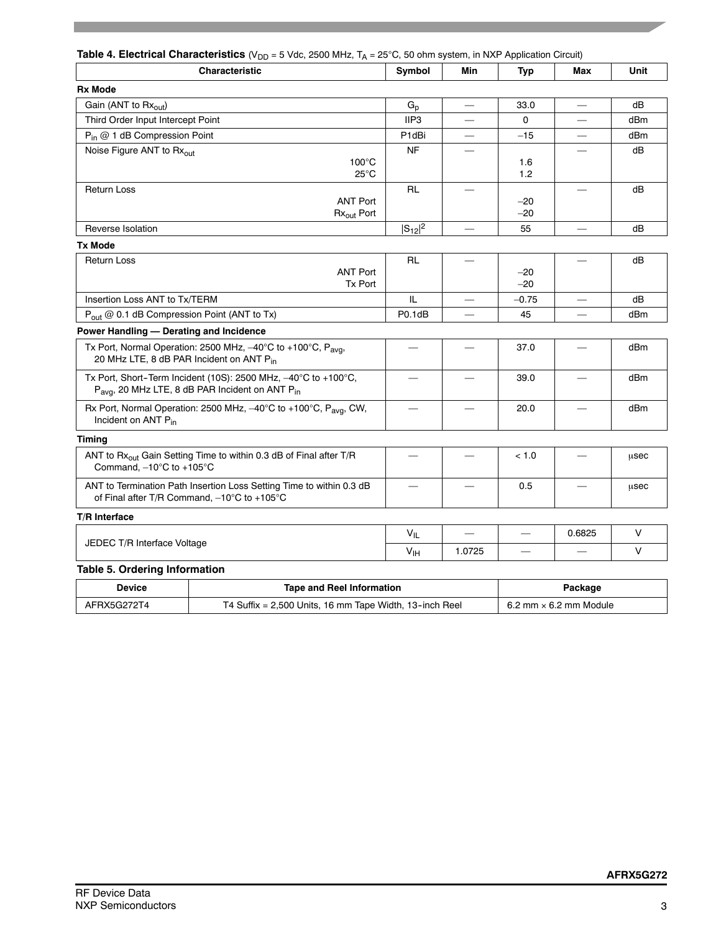## **Table 4. Electrical Characteristics** (V<sub>DD</sub> = 5 Vdc, 2500 MHz, T<sub>A</sub> = 25°C, 50 ohm system, in NXP Application Circuit)

| <b>Characteristic</b>                                                                                                                                          | Symbol           | Min                      | <b>Typ</b>     | Max                            | Unit   |
|----------------------------------------------------------------------------------------------------------------------------------------------------------------|------------------|--------------------------|----------------|--------------------------------|--------|
| <b>Rx Mode</b>                                                                                                                                                 |                  |                          |                |                                |        |
| Gain (ANT to Rxout)                                                                                                                                            | $G_{p}$          | $\frac{1}{1}$            | 33.0           |                                | dB     |
| Third Order Input Intercept Point                                                                                                                              | IIP <sub>3</sub> |                          | $\mathbf 0$    |                                | dBm    |
| $P_{in}$ @ 1 dB Compression Point                                                                                                                              | P1dBi            |                          | $-15$          |                                | dBm    |
| Noise Figure ANT to Rxout<br>$100^{\circ}$ C<br>$25^{\circ}$ C                                                                                                 | NF               |                          | 1.6<br>1.2     |                                | dB     |
| <b>Return Loss</b><br><b>ANT Port</b><br>Rx <sub>out</sub> Port                                                                                                | <b>RL</b>        |                          | $-20$<br>$-20$ |                                | dB     |
| Reverse Isolation                                                                                                                                              | $ S_{12} ^2$     | $\qquad \qquad -$        | 55             | $\qquad \qquad \longleftarrow$ | dB     |
| <b>Tx Mode</b>                                                                                                                                                 |                  |                          |                |                                |        |
| Return Loss<br><b>ANT Port</b><br>Tx Port                                                                                                                      | <b>RL</b>        |                          | $-20$<br>$-20$ |                                | dB     |
| Insertion Loss ANT to Tx/TERM                                                                                                                                  | IL               | —                        | $-0.75$        | $\overline{\phantom{0}}$       | dB     |
| P <sub>out</sub> @ 0.1 dB Compression Point (ANT to Tx)                                                                                                        | P0.1dB           |                          | 45             |                                | dBm    |
| Power Handling - Derating and Incidence                                                                                                                        |                  |                          |                |                                |        |
| Tx Port, Normal Operation: 2500 MHz, -40°C to +100°C, P <sub>avg</sub> ,<br>20 MHz LTE, 8 dB PAR Incident on ANT Pin                                           |                  |                          | 37.0           | $\overline{\phantom{0}}$       | dBm    |
| Tx Port, Short-Term Incident (10S): 2500 MHz, $-40^{\circ}$ C to +100 $^{\circ}$ C,<br>P <sub>avg</sub> , 20 MHz LTE, 8 dB PAR Incident on ANT P <sub>in</sub> |                  |                          | 39.0           |                                | dBm    |
| Rx Port, Normal Operation: 2500 MHz, -40°C to +100°C, P <sub>avg</sub> , CW,<br>Incident on ANT P <sub>in</sub>                                                |                  |                          | 20.0           |                                | dBm    |
| Timing                                                                                                                                                         |                  |                          |                |                                |        |
| ANT to Rx <sub>out</sub> Gain Setting Time to within 0.3 dB of Final after T/R<br>Command, $-10^{\circ}$ C to +105 $^{\circ}$ C                                |                  | $\overline{\phantom{0}}$ | < 1.0          |                                | usec   |
| ANT to Termination Path Insertion Loss Setting Time to within 0.3 dB<br>of Final after T/R Command, -10°C to +105°C                                            |                  |                          | 0.5            |                                | usec   |
| T/R Interface                                                                                                                                                  |                  |                          |                |                                |        |
|                                                                                                                                                                | $V_{IL}$         |                          | $\equiv$       | 0.6825                         | $\vee$ |
| JEDEC T/R Interface Voltage                                                                                                                                    | $V_{\text{IH}}$  | 1.0725                   |                |                                | $\vee$ |
| <b>Table 5. Ordering Information</b>                                                                                                                           |                  |                          |                |                                |        |
|                                                                                                                                                                |                  |                          |                |                                |        |

| Device      | Tape and Reel Information                               | Package                       |
|-------------|---------------------------------------------------------|-------------------------------|
| AFRX5G272T4 | T4 Suffix = 2,500 Units, 16 mm Tape Width, 13-inch Reel | 6.2 mm $\times$ 6.2 mm Module |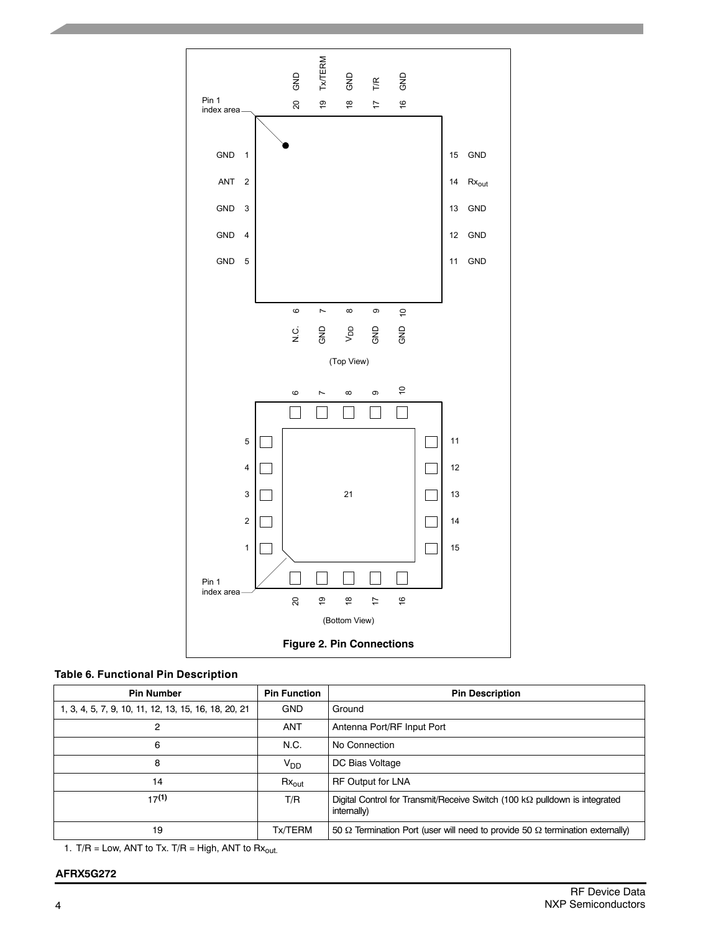

## **Table 6. Functional Pin Description**

| <b>Pin Number</b>                                    | <b>Pin Function</b> | <b>Pin Description</b>                                                                            |
|------------------------------------------------------|---------------------|---------------------------------------------------------------------------------------------------|
| 1, 3, 4, 5, 7, 9, 10, 11, 12, 13, 15, 16, 18, 20, 21 | <b>GND</b>          | Ground                                                                                            |
| 2                                                    | <b>ANT</b>          | Antenna Port/RF Input Port                                                                        |
| 6                                                    | N.C.                | No Connection                                                                                     |
| 8                                                    | $V_{DD}$            | DC Bias Voltage                                                                                   |
| 14                                                   | $Rx_{out}$          | <b>RF Output for LNA</b>                                                                          |
| 17(1)                                                | T/R                 | Digital Control for Transmit/Receive Switch (100 k $\Omega$ pulldown is integrated<br>internally) |
| 19                                                   | Tx/TERM             | 50 $\Omega$ Termination Port (user will need to provide 50 $\Omega$ termination externally)       |

1. T/R = Low, ANT to Tx. T/R = High, ANT to  $Rx_{out.}$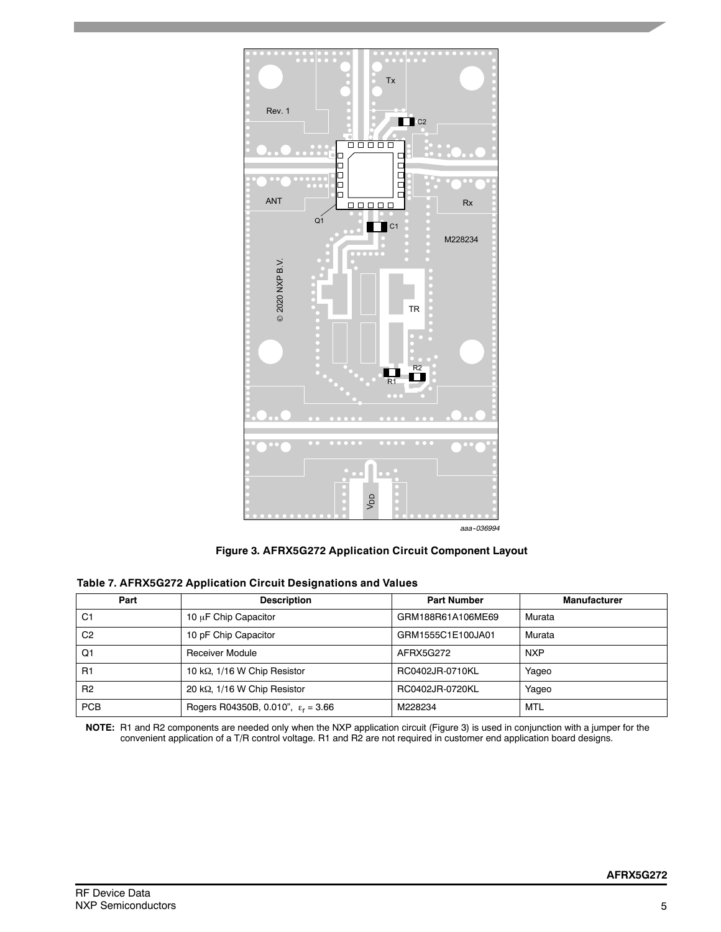

*aaa--036994*

**Figure 3. AFRX5G272 Application Circuit Component Layout**

|  | Table 7. AFRX5G272 Application Circuit Designations and Values |  |
|--|----------------------------------------------------------------|--|
|  |                                                                |  |

| Part           | <b>Description</b>                          | <b>Part Number</b> | <b>Manufacturer</b> |
|----------------|---------------------------------------------|--------------------|---------------------|
| C <sub>1</sub> | 10 µF Chip Capacitor                        | GRM188R61A106ME69  | Murata              |
| C <sub>2</sub> | 10 pF Chip Capacitor                        | GRM1555C1E100JA01  | Murata              |
| Q1             | <b>Receiver Module</b>                      | AFRX5G272          | <b>NXP</b>          |
| R1             | 10 k $\Omega$ , 1/16 W Chip Resistor        | RC0402JR-0710KL    | Yageo               |
| R <sub>2</sub> | 20 k $\Omega$ , 1/16 W Chip Resistor        | RC0402JR-0720KL    | Yaqeo               |
| <b>PCB</b>     | Rogers R04350B, 0.010", $\epsilon_r = 3.66$ | M228234            | MTL                 |

**NOTE:** R1 and R2 components are needed only when the NXP application circuit (Figure 3) is used in conjunction with a jumper for the convenient application of a T/R control voltage. R1 and R2 are not required in customer end application board designs.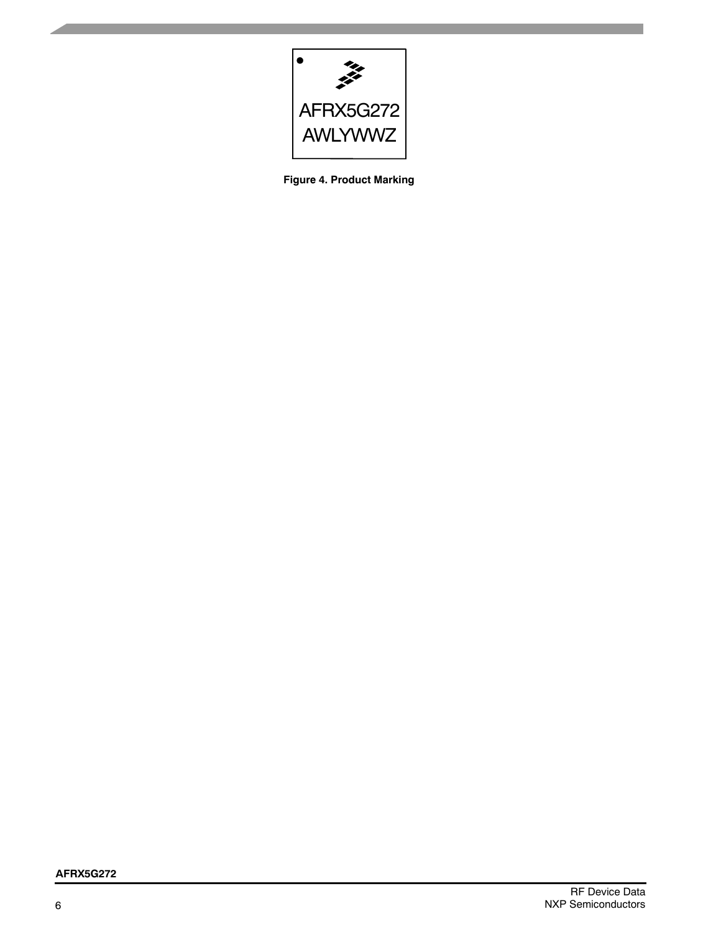

**Figure 4. Product Marking**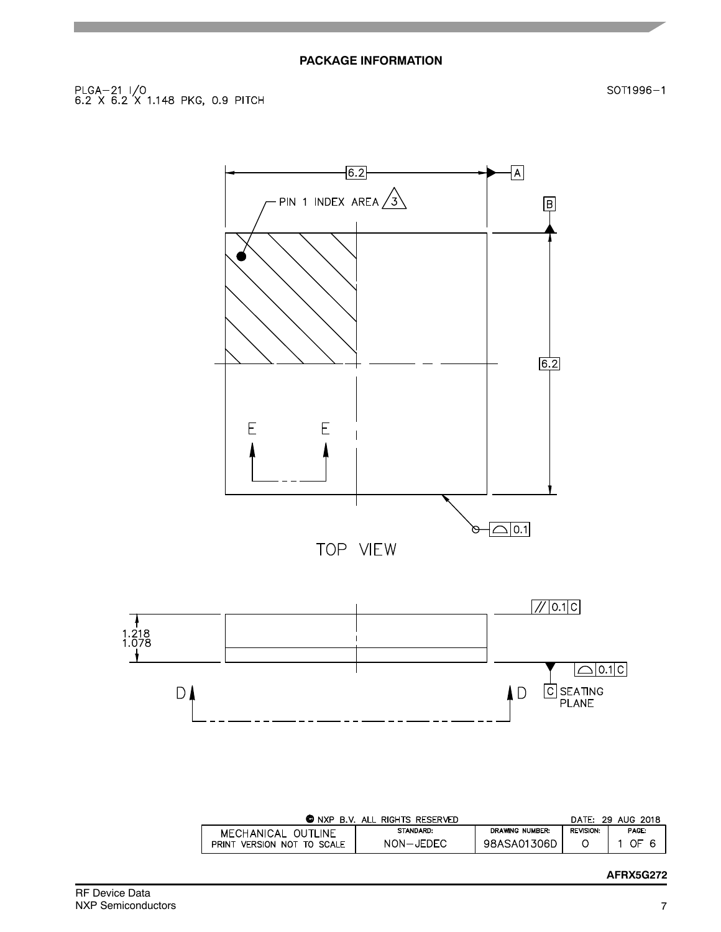SOT1996-1





| $\bullet$ NXP B.V.            | ALL RIGHTS RESERVED |                        |                  | DATE: 29 AUG 2018 |
|-------------------------------|---------------------|------------------------|------------------|-------------------|
| MECHANICAL OUTLINE            | STANDARD:           | <b>DRAWING NUMBER:</b> | <b>REVISION:</b> | PAGE:             |
| VERSION NOT TO SCALE<br>PRINT | NON-JEDEC           | 98ASA01306D            |                  | OF                |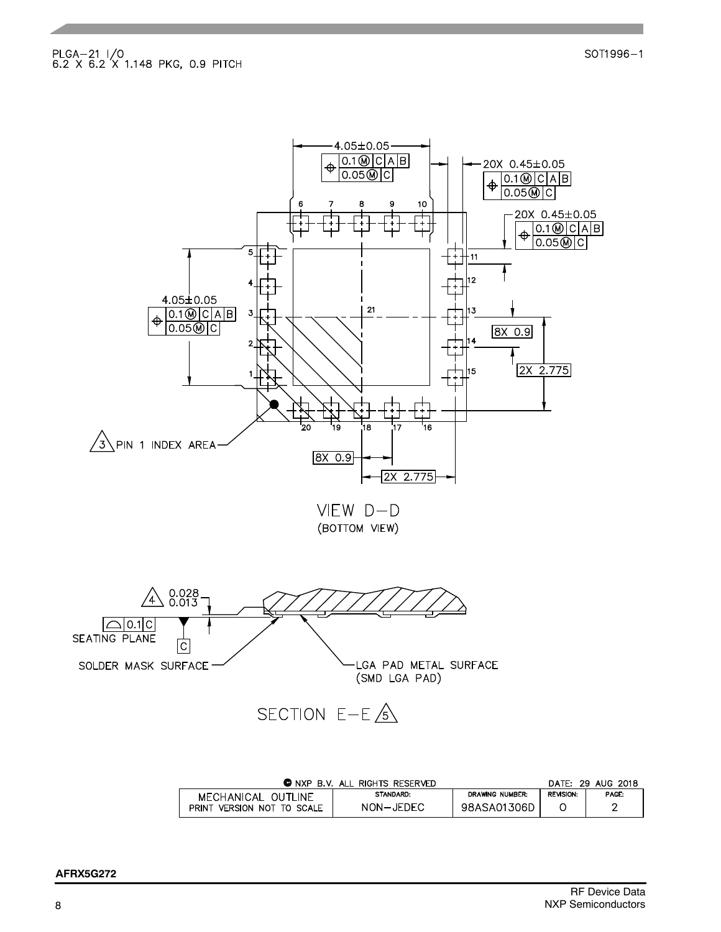

| <b>C</b> NXP                  | B.V. ALL RIGHTS RESERVED |                 |                  | DATE: 29 AUG 2018 |
|-------------------------------|--------------------------|-----------------|------------------|-------------------|
| MECHANICAL OUTLINE            | STANDARD:                | DRAWING NUMBER: | <b>REVISION:</b> | <b>PAGE:</b>      |
| VERSION NOT TO SCALE<br>PRINT | NON-JEDEC                | 98ASA01306D     |                  |                   |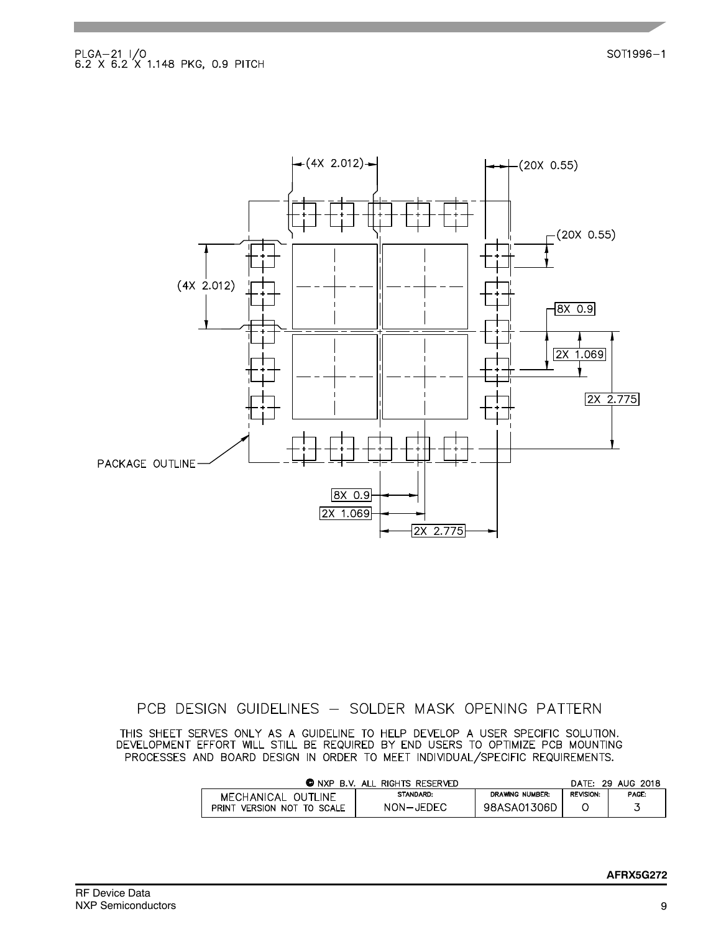

## PCB DESIGN GUIDELINES - SOLDER MASK OPENING PATTERN

THIS SHEET SERVES ONLY AS A GUIDELINE TO HELP DEVELOP A USER SPECIFIC SOLUTION.<br>DEVELOPMENT EFFORT WILL STILL BE REQUIRED BY END USERS TO OPTIMIZE PCB MOUNTING PROCESSES AND BOARD DESIGN IN ORDER TO MEET INDIVIDUAL/SPECIFIC REQUIREMENTS.

|                            | <b>O</b> NXP B.V. ALL RIGHTS RESERVED |                 |                  | DATE: 29 AUG 2018 |
|----------------------------|---------------------------------------|-----------------|------------------|-------------------|
| MECHANICAL OUTLINE         | STANDARD:                             | DRAWING NUMBER: | <b>REVISION:</b> | PAGE:             |
| PRINT VERSION NOT TO SCALE | NON-JEDEC                             | 98ASA01306D     |                  |                   |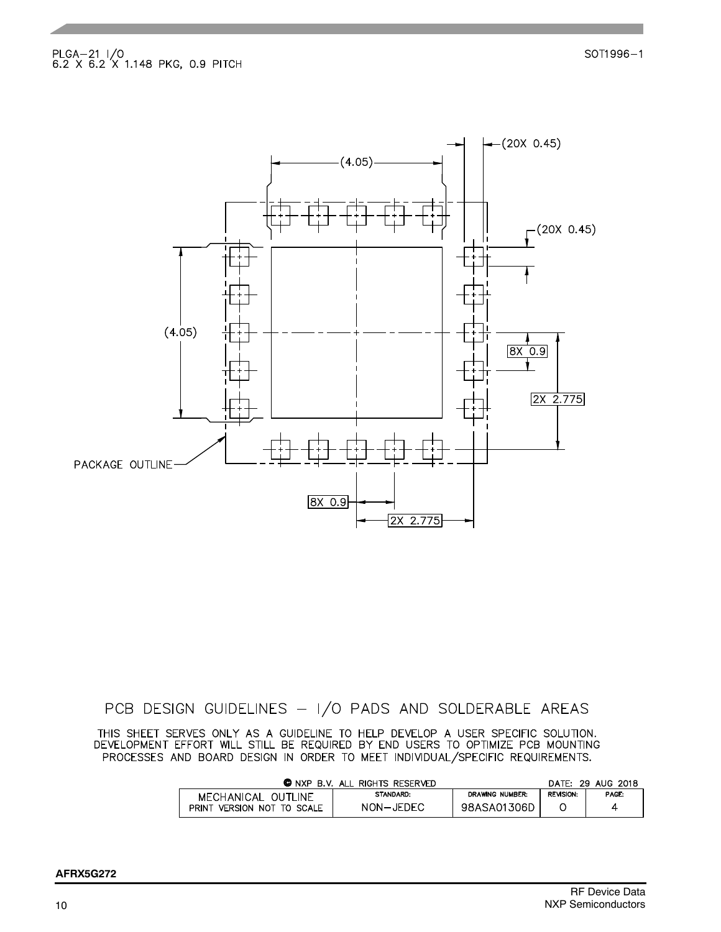SOT1996-1



## PCB DESIGN GUIDELINES - I/O PADS AND SOLDERABLE AREAS

THIS SHEET SERVES ONLY AS A GUIDELINE TO HELP DEVELOP A USER SPECIFIC SOLUTION.<br>DEVELOPMENT EFFORT WILL STILL BE REQUIRED BY END USERS TO OPTIMIZE PCB MOUNTING PROCESSES AND BOARD DESIGN IN ORDER TO MEET INDIVIDUAL/SPECIFIC REQUIREMENTS.

| © NXP<br>R V                  | . ALL RIGHTS RESERVED |                 | DATE:            | 29 AUG 2018 |
|-------------------------------|-----------------------|-----------------|------------------|-------------|
| MECHANICAL OUTLINE            | <b>STANDARD:</b>      | DRAWING NUMBER: | <b>REVISION:</b> | PAGE:       |
| VERSION NOT TO SCALE<br>PRINT | NON-JEDEC             | 98ASA01306D     |                  |             |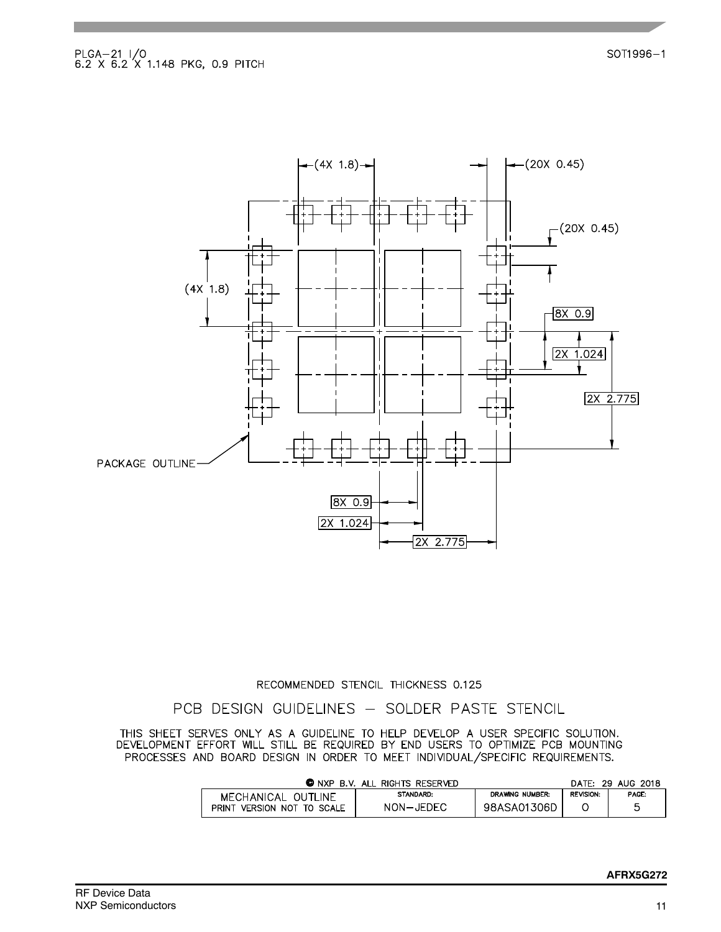

## RECOMMENDED STENCIL THICKNESS 0.125

## PCB DESIGN GUIDELINES - SOLDER PASTE STENCIL

THIS SHEET SERVES ONLY AS A GUIDELINE TO HELP DEVELOP A USER SPECIFIC SOLUTION.<br>DEVELOPMENT EFFORT WILL STILL BE REQUIRED BY END USERS TO OPTIMIZE PCB MOUNTING PROCESSES AND BOARD DESIGN IN ORDER TO MEET INDIVIDUAL/SPECIFIC REQUIREMENTS.

| <b>O</b> NXP<br>B.V. ALL RIGHTS RESERVED | DATF:     | 29 AUG 2018     |                  |       |
|------------------------------------------|-----------|-----------------|------------------|-------|
| MECHANICAL OUTLINE                       | STANDARD: | DRAWING NUMBER: | <b>REVISION:</b> | PAGE: |
| PRINT<br>VERSION NOT TO SCALE            | NON-JEDEC | 98ASA01306D     |                  |       |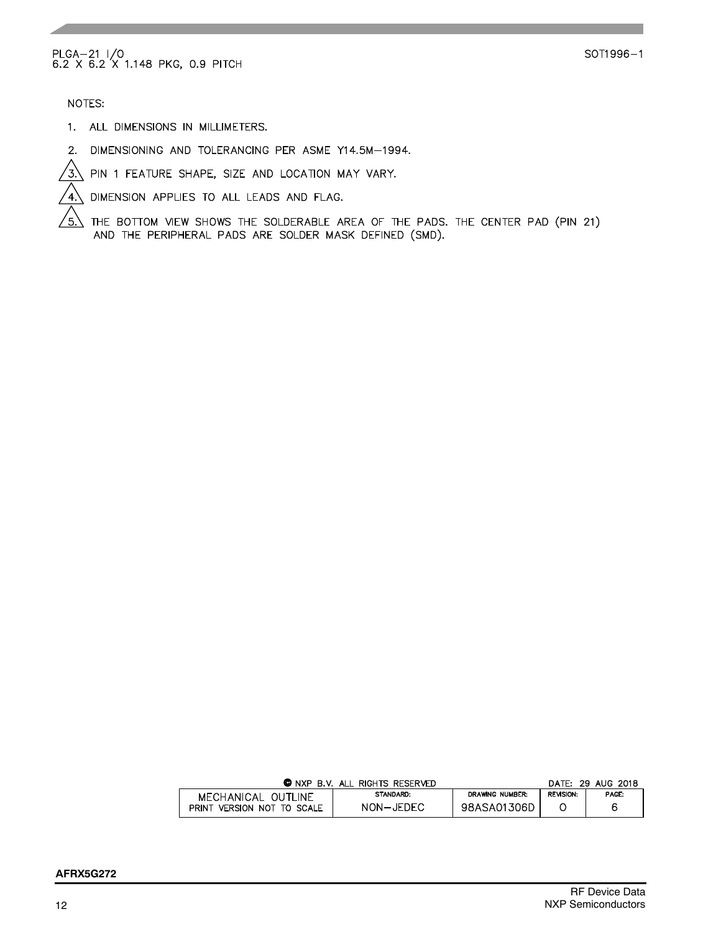NOTES:

ัธ.`

- 1. ALL DIMENSIONS IN MILLIMETERS.
- 2. DIMENSIONING AND TOLERANCING PER ASME Y14.5M-1994.
- $\overline{3}$  PIN 1 FEATURE SHAPE, SIZE AND LOCATION MAY VARY.

DIMENSION APPLIES TO ALL LEADS AND FLAG.  $\sqrt{4}$ .

THE BOTTOM VIEW SHOWS THE SOLDERABLE AREA OF THE PADS. THE CENTER PAD (PIN 21) AND THE PERIPHERAL PADS ARE SOLDER MASK DEFINED (SMD).

| © NXP<br>B.V. ALL RIGHTS RESERVED |           | DATE: 29 AUG 2018      |                  |       |
|-----------------------------------|-----------|------------------------|------------------|-------|
| MECHANICAL OUTLINE                | STANDARD: | <b>DRAWING NUMBER:</b> | <b>REVISION:</b> | PAGE: |
| VERSION NOT TO SCALE<br>PRINT     | NON-JEDEC | 98ASA01306D            |                  |       |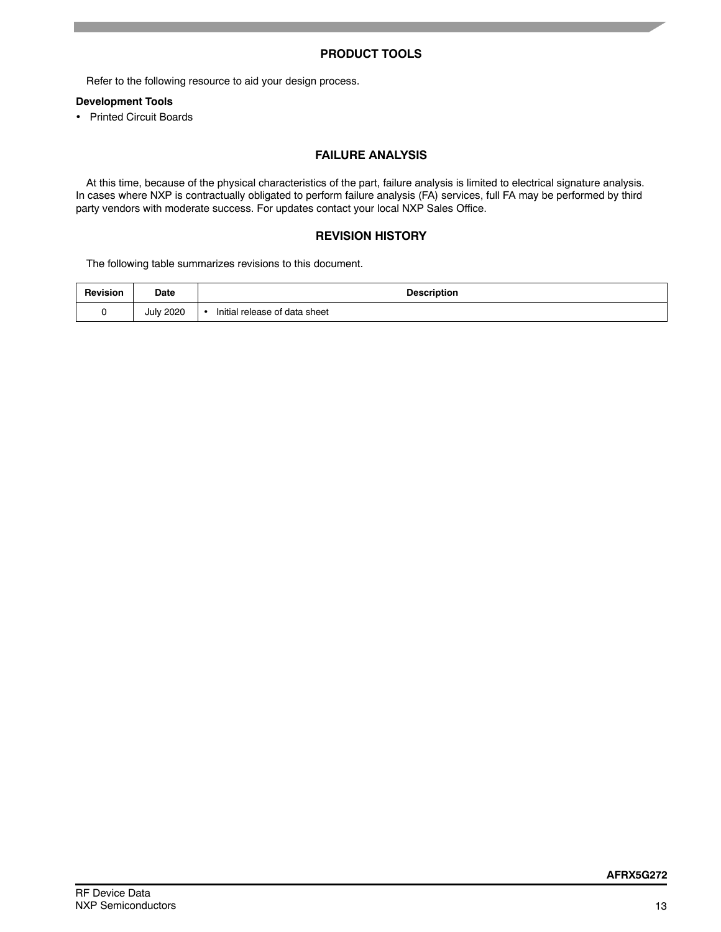## **PRODUCT TOOLS**

Refer to the following resource to aid your design process.

## **Development Tools**

• Printed Circuit Boards

## **FAILURE ANALYSIS**

At this time, because of the physical characteristics of the part, failure analysis is limited to electrical signature analysis. In cases where NXP is contractually obligated to perform failure analysis (FA) services, full FA may be performed by third party vendors with moderate success. For updates contact your local NXP Sales Office.

#### **REVISION HISTORY**

The following table summarizes revisions to this document.

| <b>Revision</b> | <b>Date</b>      | <b>Description</b>                              |
|-----------------|------------------|-------------------------------------------------|
|                 | <b>July 2020</b> | l release of data sheet<br>Initial<br>$\bullet$ |